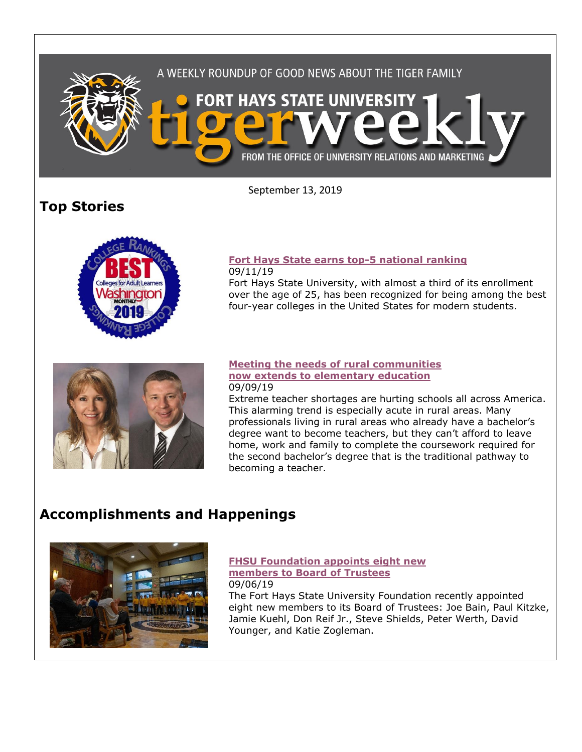

September 13, 2019

# **Top Stories**



#### **[Fort Hays State earns top-5 national ranking](https://www.fhsu.edu/news/2019/09/fort-hays-state-earns-top-5-national-ranking)** 09/11/19

Fort Hays State University, with almost a third of its enrollment over the age of 25, has been recognized for being among the best four-year colleges in the United States for modern students.



#### **[Meeting the needs of rural communities](https://www.fhsu.edu/news/2019/09/meeting-the-needs-of-rural-communities-now-extends-to-elementary-education)  [now extends to elementary education](https://www.fhsu.edu/news/2019/09/meeting-the-needs-of-rural-communities-now-extends-to-elementary-education)** 09/09/19

Extreme teacher shortages are hurting schools all across America. This alarming trend is especially acute in rural areas. Many professionals living in rural areas who already have a bachelor's degree want to become teachers, but they can't afford to leave home, work and family to complete the coursework required for the second bachelor's degree that is the traditional pathway to becoming a teacher.

# **Accomplishments and Happenings**



#### **[FHSU Foundation appoints eight new](https://www.fhsu.edu/news/2019/09/fhsu-foundation-appoints-eight-new-members-to-board-of-trustees)  [members to Board of Trustees](https://www.fhsu.edu/news/2019/09/fhsu-foundation-appoints-eight-new-members-to-board-of-trustees)** 09/06/19

The Fort Hays State University Foundation recently appointed eight new members to its Board of Trustees: Joe Bain, Paul Kitzke, Jamie Kuehl, Don Reif Jr., Steve Shields, Peter Werth, David Younger, and Katie Zogleman.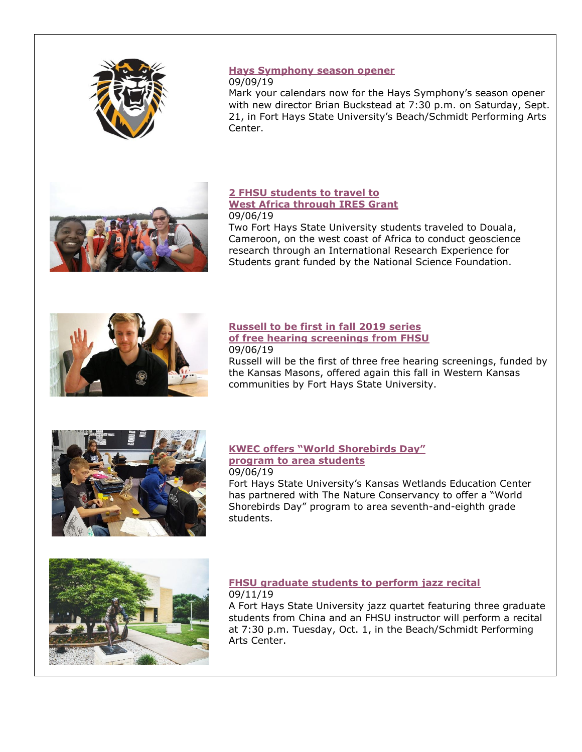

### **[Hays Symphony season opener](https://www.fhsu.edu/news/2019/09/hays-symphony-season-opener)**

#### 09/09/19

Mark your calendars now for the Hays Symphony's season opener with new director Brian Buckstead at 7:30 p.m. on Saturday, Sept. 21, in Fort Hays State University's Beach/Schmidt Performing Arts Center.



#### **[2 FHSU students to travel to](https://www.fhsu.edu/news/2019/09/2-fhsu-students-to-travel-to-west-africa-through-ires-grant)  [West Africa through IRES Grant](https://www.fhsu.edu/news/2019/09/2-fhsu-students-to-travel-to-west-africa-through-ires-grant)** 09/06/19

Two Fort Hays State University students traveled to Douala, Cameroon, on the west coast of Africa to conduct geoscience research through an International Research Experience for Students grant funded by the National Science Foundation.



### **[Russell to be first in fall 2019 series](https://www.fhsu.edu/news/2019/09/russell-to-be-first-in-fall-2019-series-of-free-hearing-screenings-from-fhsu)  [of free hearing screenings from FHSU](https://www.fhsu.edu/news/2019/09/russell-to-be-first-in-fall-2019-series-of-free-hearing-screenings-from-fhsu)** 09/06/19

Russell will be the first of three free hearing screenings, funded by the Kansas Masons, offered again this fall in Western Kansas communities by Fort Hays State University.



# **[KWEC offers "World Shorebirds Day"](https://www.fhsu.edu/news/2019/09/kwec-offers-world-shorebirds-day-program-to-area-students)  [program to area students](https://www.fhsu.edu/news/2019/09/kwec-offers-world-shorebirds-day-program-to-area-students)**

#### 09/06/19 Fort Hays State University's Kansas Wetlands Education Center has partnered with The Nature Conservancy to offer a "World Shorebirds Day" program to area seventh-and-eighth grade students.



## **[FHSU graduate students to perform jazz recital](https://www.fhsu.edu/news/2019/09/fhsu-graduate-students-to-perform-jazz-recital)** 09/11/19

A Fort Hays State University jazz quartet featuring three graduate students from China and an FHSU instructor will perform a recital at 7:30 p.m. Tuesday, Oct. 1, in the Beach/Schmidt Performing Arts Center.